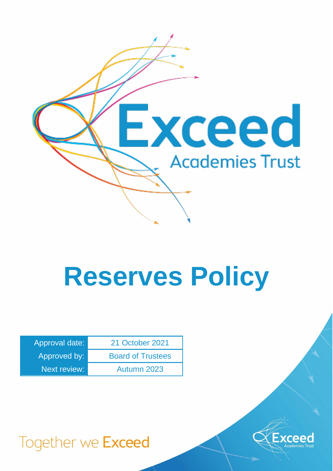

# **Reserves Policy**

| Approval date: | 21 October 2021          |
|----------------|--------------------------|
| Approved by:   | <b>Board of Trustees</b> |
| Next review:   | Autumn 2023              |



## Together we Exceed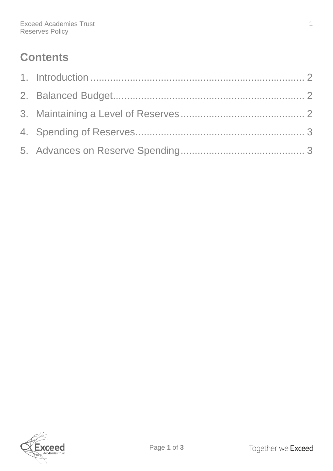### **Contents**

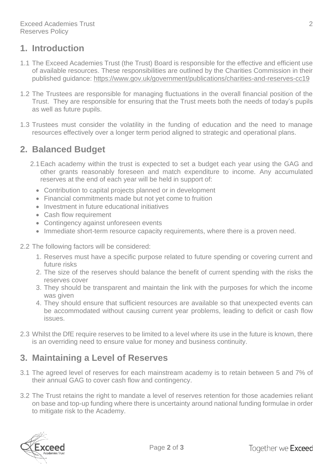#### <span id="page-2-0"></span>**1. Introduction**

- 1.1 The Exceed Academies Trust (the Trust) Board is responsible for the effective and efficient use of available resources. These responsibilities are outlined by the Charities Commission in their published guidance:<https://www.gov.uk/government/publications/charities-and-reserves-cc19>
- 1.2 The Trustees are responsible for managing fluctuations in the overall financial position of the Trust. They are responsible for ensuring that the Trust meets both the needs of today's pupils as well as future pupils.
- 1.3 Trustees must consider the volatility in the funding of education and the need to manage resources effectively over a longer term period aligned to strategic and operational plans.

#### <span id="page-2-1"></span>**2. Balanced Budget**

- 2.1Each academy within the trust is expected to set a budget each year using the GAG and other grants reasonably foreseen and match expenditure to income. Any accumulated reserves at the end of each year will be held in support of:
	- Contribution to capital projects planned or in development
	- Financial commitments made but not yet come to fruition
	- Investment in future educational initiatives
	- Cash flow requirement
	- Contingency against unforeseen events
	- Immediate short-term resource capacity requirements, where there is a proven need.
- 2.2 The following factors will be considered:
	- 1. Reserves must have a specific purpose related to future spending or covering current and future risks
	- 2. The size of the reserves should balance the benefit of current spending with the risks the reserves cover
	- 3. They should be transparent and maintain the link with the purposes for which the income was given
	- 4. They should ensure that sufficient resources are available so that unexpected events can be accommodated without causing current year problems, leading to deficit or cash flow issues.
- 2.3 Whilst the DfE require reserves to be limited to a level where its use in the future is known, there is an overriding need to ensure value for money and business continuity.

#### <span id="page-2-2"></span>**3. Maintaining a Level of Reserves**

- 3.1 The agreed level of reserves for each mainstream academy is to retain between 5 and 7% of their annual GAG to cover cash flow and contingency.
- 3.2 The Trust retains the right to mandate a level of reserves retention for those academies reliant on base and top-up funding where there is uncertainty around national funding formulae in order to mitigate risk to the Academy.